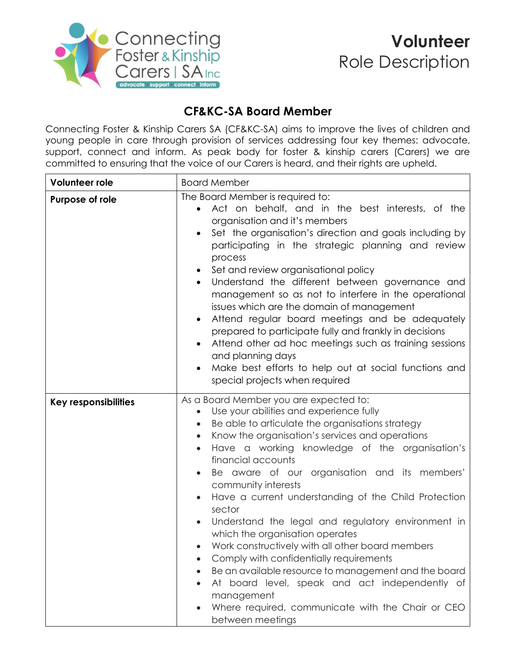

## **CF&KC-SA Board Member**

Connecting Foster & Kinship Carers SA (CF&KC-SA) aims to improve the lives of children and young people in care through provision of services addressing four key themes: advocate, support, connect and inform. As peak body for foster & kinship carers (Carers) we are committed to ensuring that the voice of our Carers is heard, and their rights are upheld.

| Volunteer role              | <b>Board Member</b>                                                                                                                                                                                                                                                                                                                                                                                                                                                                                                                                                                                                                                                                                                                                                                                                                                     |
|-----------------------------|---------------------------------------------------------------------------------------------------------------------------------------------------------------------------------------------------------------------------------------------------------------------------------------------------------------------------------------------------------------------------------------------------------------------------------------------------------------------------------------------------------------------------------------------------------------------------------------------------------------------------------------------------------------------------------------------------------------------------------------------------------------------------------------------------------------------------------------------------------|
| Purpose of role             | The Board Member is required to:<br>Act on behalf, and in the best interests, of the<br>$\bullet$<br>organisation and it's members<br>Set the organisation's direction and goals including by<br>participating in the strategic planning and review<br>process<br>Set and review organisational policy<br>Understand the different between governance and<br>management so as not to interfere in the operational<br>issues which are the domain of management<br>Attend regular board meetings and be adequately<br>prepared to participate fully and frankly in decisions<br>Attend other ad hoc meetings such as training sessions<br>and planning days<br>Make best efforts to help out at social functions and<br>special projects when required                                                                                                   |
| <b>Key responsibilities</b> | As a Board Member you are expected to:<br>Use your abilities and experience fully<br>$\bullet$<br>Be able to articulate the organisations strategy<br>$\bullet$<br>Know the organisation's services and operations<br>$\bullet$<br>Have a working knowledge of the organisation's<br>$\bullet$<br>financial accounts<br>Be aware of our organisation and its members'<br>community interests<br>Have a current understanding of the Child Protection<br>sector<br>Understand the legal and regulatory environment in<br>which the organisation operates<br>Work constructively with all other board members<br>Comply with confidentially requirements<br>Be an available resource to management and the board<br>At board level, speak and act independently of<br>management<br>Where required, communicate with the Chair or CEO<br>between meetings |